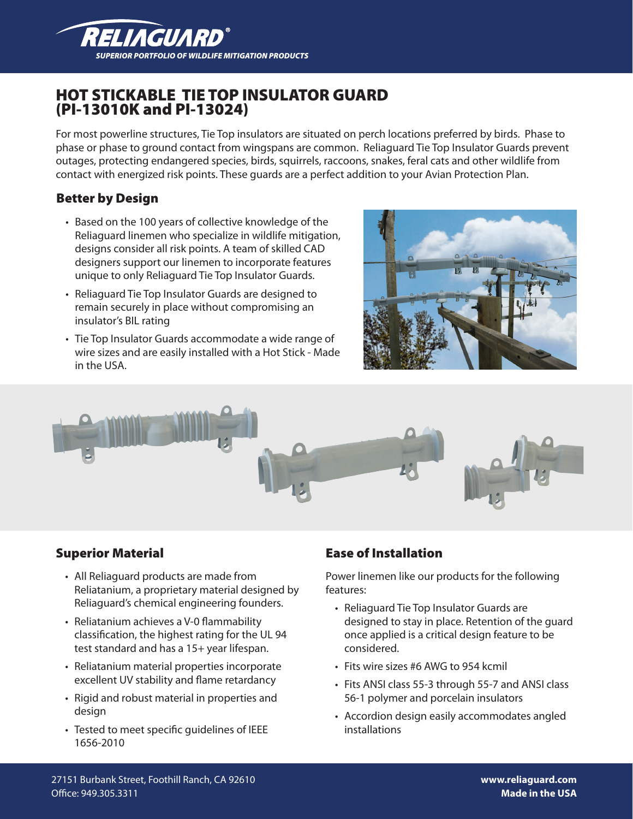

# HOT STICKABLE TIE TOP INSULATOR GUARD (PI-13010K and PI-13024)

For most powerline structures, Tie Top insulators are situated on perch locations preferred by birds. Phase to phase or phase to ground contact from wingspans are common. Reliaguard Tie Top Insulator Guards prevent outages, protecting endangered species, birds, squirrels, raccoons, snakes, feral cats and other wildlife from contact with energized risk points. These guards are a perfect addition to your Avian Protection Plan.

### Better by Design

- Based on the 100 years of collective knowledge of the Reliaguard linemen who specialize in wildlife mitigation, designs consider all risk points. A team of skilled CAD designers support our linemen to incorporate features unique to only Reliaguard Tie Top Insulator Guards.
- Reliaguard Tie Top Insulator Guards are designed to remain securely in place without compromising an insulator's BIL rating
- Tie Top Insulator Guards accommodate a wide range of wire sizes and are easily installed with a Hot Stick - Made in the USA.





### Superior Material

- All Reliaguard products are made from Reliatanium, a proprietary material designed by Reliaguard's chemical engineering founders.
- Reliatanium achieves a V-0 flammability classification, the highest rating for the UL 94 test standard and has a 15+ year lifespan.
- Reliatanium material properties incorporate excellent UV stability and flame retardancy
- Rigid and robust material in properties and design
- Tested to meet specific guidelines of IEEE 1656-2010

## Ease of Installation

Power linemen like our products for the following features:

- Reliaguard Tie Top Insulator Guards are designed to stay in place. Retention of the guard once applied is a critical design feature to be considered.
- Fits wire sizes #6 AWG to 954 kcmil
- Fits ANSI class 55-3 through 55-7 and ANSI class 56-1 polymer and porcelain insulators
- Accordion design easily accommodates angled installations